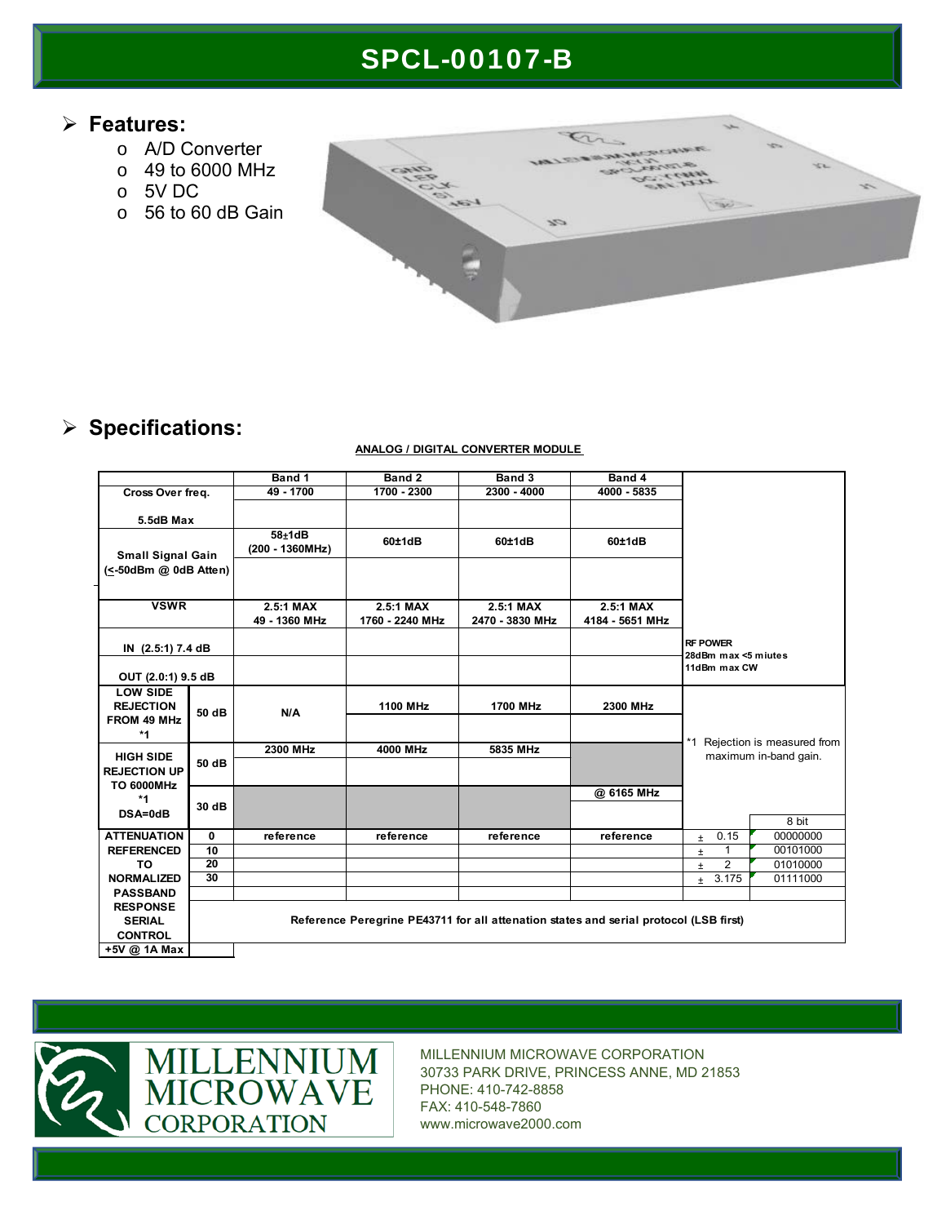## SPCL-00107-B

### **Features:**

- o A/D Converter
- o 49 to 6000 MHz
- o 5V DC
- o 56 to 60 dB Gain



## **Specifications:**

|                                                                      |                                                                                       | Band 1                      | Band 2          | Band 3          | Band 4          |                                        |                 |
|----------------------------------------------------------------------|---------------------------------------------------------------------------------------|-----------------------------|-----------------|-----------------|-----------------|----------------------------------------|-----------------|
| Cross Over freq.                                                     |                                                                                       | 49 - 1700                   | 1700 - 2300     | $2300 - 4000$   | 4000 - 5835     |                                        |                 |
|                                                                      |                                                                                       |                             |                 |                 |                 |                                        |                 |
| 5.5dB Max                                                            |                                                                                       |                             |                 |                 |                 |                                        |                 |
| <b>Small Signal Gain</b>                                             |                                                                                       | $58+1dB$<br>(200 - 1360MHz) | 60±1dB          | 60±1dB          | 60±1dB          |                                        |                 |
| (<-50dBm @ 0dB Atten)                                                |                                                                                       |                             |                 |                 |                 |                                        |                 |
| <b>VSWR</b>                                                          |                                                                                       | 2.5:1 MAX                   | 2.5:1 MAX       | 2.5:1 MAX       | 2.5:1 MAX       |                                        |                 |
|                                                                      |                                                                                       |                             |                 |                 |                 |                                        |                 |
|                                                                      |                                                                                       | 49 - 1360 MHz               | 1760 - 2240 MHz | 2470 - 3830 MHz | 4184 - 5651 MHz |                                        |                 |
| IN $(2.5:1)$ 7.4 dB                                                  |                                                                                       |                             |                 |                 |                 | <b>RF POWER</b><br>28dBm max <5 miutes |                 |
| OUT (2.0:1) 9.5 dB                                                   |                                                                                       |                             |                 |                 |                 | 11dBm max CW                           |                 |
| <b>LOW SIDE</b><br><b>REJECTION</b><br>FROM 49 MHz<br>$*1$           | 50 dB                                                                                 | N/A                         | <b>1100 MHz</b> | <b>1700 MHz</b> | 2300 MHz        |                                        |                 |
|                                                                      |                                                                                       |                             |                 |                 |                 | $*1$<br>Rejection is measured from     |                 |
| <b>HIGH SIDE</b><br><b>REJECTION UP</b><br><b>TO 6000MHz</b><br>$*1$ | 50 dB                                                                                 | 2300 MHz                    | 4000 MHz        | 5835 MHz        |                 |                                        |                 |
|                                                                      |                                                                                       |                             |                 |                 |                 | maximum in-band gain.                  |                 |
|                                                                      | 30 dB                                                                                 |                             |                 |                 | @ 6165 MHz      |                                        |                 |
| DSA=0dB                                                              |                                                                                       |                             |                 |                 |                 |                                        | $8 \text{ bit}$ |
| <b>ATTENUATION</b>                                                   | $\mathbf 0$                                                                           |                             |                 |                 |                 | 0.15                                   | 00000000        |
| <b>REFERENCED</b><br><b>TO</b>                                       | 10                                                                                    | reference                   | reference       | reference       | reference       | $\pm$                                  | 00101000        |
|                                                                      | $\overline{20}$                                                                       |                             |                 |                 |                 | 1<br>$\pm$                             | 01010000        |
|                                                                      | 30                                                                                    |                             |                 |                 |                 | $\overline{2}$<br>$\pm$                |                 |
| <b>NORMALIZED</b>                                                    |                                                                                       |                             |                 |                 |                 | 3.175<br>$\pm$                         | 01111000        |
| <b>PASSBAND</b>                                                      |                                                                                       |                             |                 |                 |                 |                                        |                 |
| <b>RESPONSE</b>                                                      | Reference Peregrine PE43711 for all attenation states and serial protocol (LSB first) |                             |                 |                 |                 |                                        |                 |
| <b>SERIAL</b>                                                        |                                                                                       |                             |                 |                 |                 |                                        |                 |
| <b>CONTROL</b>                                                       |                                                                                       |                             |                 |                 |                 |                                        |                 |
| +5V @ 1A Max                                                         |                                                                                       |                             |                 |                 |                 |                                        |                 |

#### **ANALOG / DIGITAL CONVERTER MODULE**



MILLENNIUM MICROWAVE CORPORATION 30733 PARK DRIVE, PRINCESS ANNE, MD 21853 PHONE: 410-742-8858 FAX: 410-548-7860 www.microwave2000.com